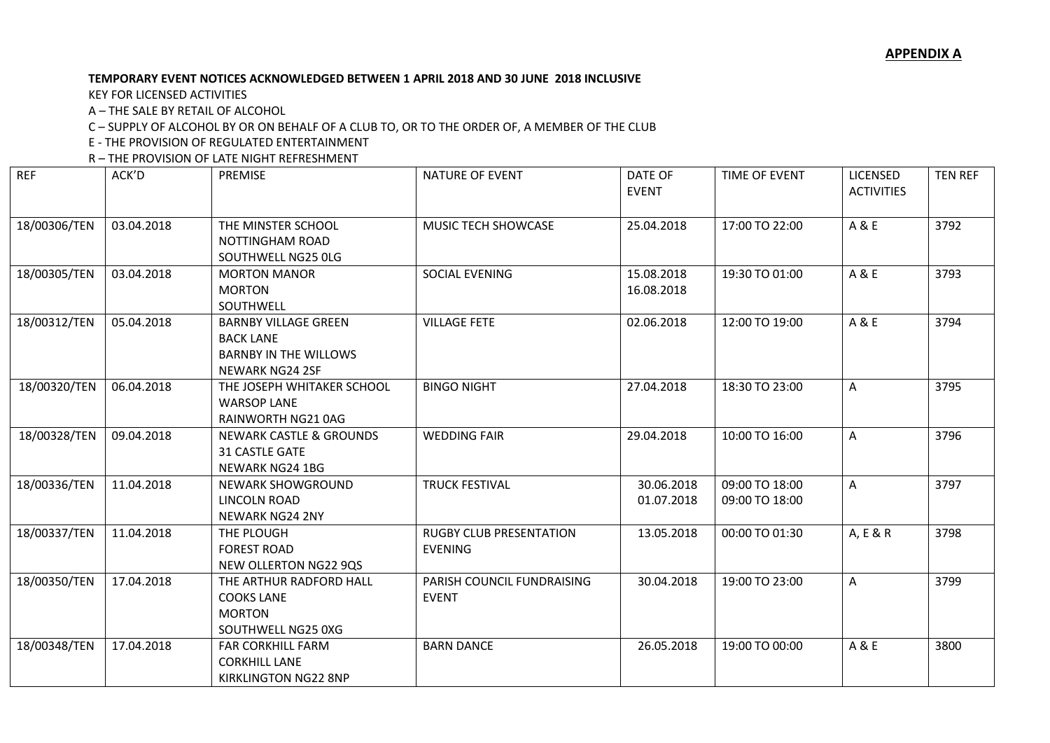#### **TEMPORARY EVENT NOTICES ACKNOWLEDGED BETWEEN 1 APRIL 2018 AND 30 JUNE 2018 INCLUSIVE**

KEY FOR LICENSED ACTIVITIES

A – THE SALE BY RETAIL OF ALCOHOL

C – SUPPLY OF ALCOHOL BY OR ON BEHALF OF A CLUB TO, OR TO THE ORDER OF, A MEMBER OF THE CLUB

E - THE PROVISION OF REGULATED ENTERTAINMENT

R – THE PROVISION OF LATE NIGHT REFRESHMENT

| <b>REF</b>   | ACK'D      | PREMISE                                                                                            | <b>NATURE OF EVENT</b>                           | DATE OF<br><b>EVENT</b>  | TIME OF EVENT                    | <b>LICENSED</b><br><b>ACTIVITIES</b> | <b>TEN REF</b> |
|--------------|------------|----------------------------------------------------------------------------------------------------|--------------------------------------------------|--------------------------|----------------------------------|--------------------------------------|----------------|
| 18/00306/TEN | 03.04.2018 | THE MINSTER SCHOOL<br>NOTTINGHAM ROAD<br>SOUTHWELL NG25 OLG                                        | MUSIC TECH SHOWCASE                              | 25.04.2018               | 17:00 TO 22:00                   | A & E                                | 3792           |
| 18/00305/TEN | 03.04.2018 | <b>MORTON MANOR</b><br><b>MORTON</b><br>SOUTHWELL                                                  | SOCIAL EVENING                                   | 15.08.2018<br>16.08.2018 | 19:30 TO 01:00                   | A & E                                | 3793           |
| 18/00312/TEN | 05.04.2018 | <b>BARNBY VILLAGE GREEN</b><br><b>BACK LANE</b><br><b>BARNBY IN THE WILLOWS</b><br>NEWARK NG24 2SF | <b>VILLAGE FETE</b>                              | 02.06.2018               | 12:00 TO 19:00                   | A & E                                | 3794           |
| 18/00320/TEN | 06.04.2018 | THE JOSEPH WHITAKER SCHOOL<br><b>WARSOP LANE</b><br>RAINWORTH NG21 0AG                             | <b>BINGO NIGHT</b>                               | 27.04.2018               | 18:30 TO 23:00                   | A                                    | 3795           |
| 18/00328/TEN | 09.04.2018 | <b>NEWARK CASTLE &amp; GROUNDS</b><br>31 CASTLE GATE<br>NEWARK NG24 1BG                            | <b>WEDDING FAIR</b>                              | 29.04.2018               | 10:00 TO 16:00                   | A                                    | 3796           |
| 18/00336/TEN | 11.04.2018 | <b>NEWARK SHOWGROUND</b><br>LINCOLN ROAD<br><b>NEWARK NG24 2NY</b>                                 | <b>TRUCK FESTIVAL</b>                            | 30.06.2018<br>01.07.2018 | 09:00 TO 18:00<br>09:00 TO 18:00 | A                                    | 3797           |
| 18/00337/TEN | 11.04.2018 | THE PLOUGH<br><b>FOREST ROAD</b><br>NEW OLLERTON NG22 9QS                                          | <b>RUGBY CLUB PRESENTATION</b><br><b>EVENING</b> | 13.05.2018               | 00:00 TO 01:30                   | A, E & R                             | 3798           |
| 18/00350/TEN | 17.04.2018 | THE ARTHUR RADFORD HALL<br><b>COOKS LANE</b><br><b>MORTON</b><br>SOUTHWELL NG25 0XG                | PARISH COUNCIL FUNDRAISING<br><b>EVENT</b>       | 30.04.2018               | 19:00 TO 23:00                   | A                                    | 3799           |
| 18/00348/TEN | 17.04.2018 | <b>FAR CORKHILL FARM</b><br><b>CORKHILL LANE</b><br>KIRKLINGTON NG22 8NP                           | <b>BARN DANCE</b>                                | 26.05.2018               | 19:00 TO 00:00                   | A & E                                | 3800           |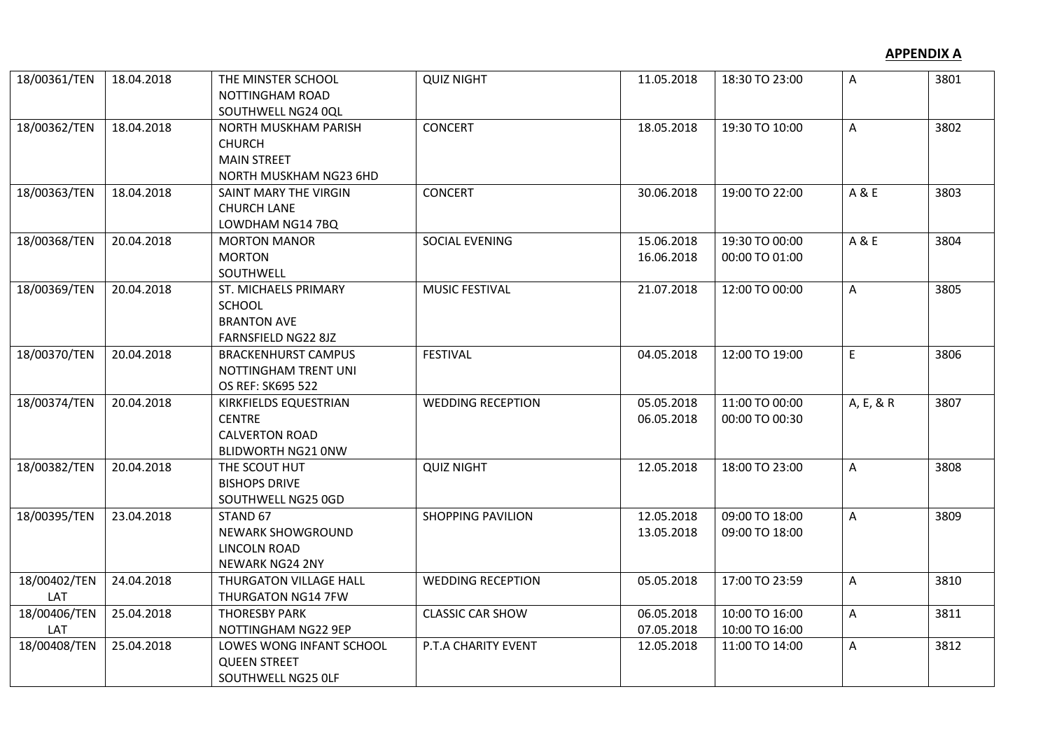| 18/00361/TEN        | 18.04.2018 | THE MINSTER SCHOOL<br>NOTTINGHAM ROAD<br>SOUTHWELL NG24 0QL                                  | <b>QUIZ NIGHT</b>        | 11.05.2018               | 18:30 TO 23:00                   | A         | 3801 |
|---------------------|------------|----------------------------------------------------------------------------------------------|--------------------------|--------------------------|----------------------------------|-----------|------|
| 18/00362/TEN        | 18.04.2018 | NORTH MUSKHAM PARISH<br><b>CHURCH</b><br><b>MAIN STREET</b><br>NORTH MUSKHAM NG23 6HD        | <b>CONCERT</b>           | 18.05.2018               | 19:30 TO 10:00                   | A         | 3802 |
| 18/00363/TEN        | 18.04.2018 | SAINT MARY THE VIRGIN<br><b>CHURCH LANE</b><br>LOWDHAM NG14 7BQ                              | <b>CONCERT</b>           | 30.06.2018               | 19:00 TO 22:00                   | A & E     | 3803 |
| 18/00368/TEN        | 20.04.2018 | <b>MORTON MANOR</b><br><b>MORTON</b><br>SOUTHWELL                                            | SOCIAL EVENING           | 15.06.2018<br>16.06.2018 | 19:30 TO 00:00<br>00:00 TO 01:00 | A & E     | 3804 |
| 18/00369/TEN        | 20.04.2018 | ST. MICHAELS PRIMARY<br>SCHOOL<br><b>BRANTON AVE</b><br><b>FARNSFIELD NG22 8JZ</b>           | <b>MUSIC FESTIVAL</b>    | 21.07.2018               | 12:00 TO 00:00                   | A         | 3805 |
| 18/00370/TEN        | 20.04.2018 | <b>BRACKENHURST CAMPUS</b><br>NOTTINGHAM TRENT UNI<br>OS REF: SK695 522                      | <b>FESTIVAL</b>          | 04.05.2018               | 12:00 TO 19:00                   | E         | 3806 |
| 18/00374/TEN        | 20.04.2018 | KIRKFIELDS EQUESTRIAN<br><b>CENTRE</b><br><b>CALVERTON ROAD</b><br><b>BLIDWORTH NG21 ONW</b> | <b>WEDDING RECEPTION</b> | 05.05.2018<br>06.05.2018 | 11:00 TO 00:00<br>00:00 TO 00:30 | A, E, & R | 3807 |
| 18/00382/TEN        | 20.04.2018 | THE SCOUT HUT<br><b>BISHOPS DRIVE</b><br>SOUTHWELL NG25 0GD                                  | <b>QUIZ NIGHT</b>        | 12.05.2018               | 18:00 TO 23:00                   | A         | 3808 |
| 18/00395/TEN        | 23.04.2018 | STAND 67<br>NEWARK SHOWGROUND<br><b>LINCOLN ROAD</b><br><b>NEWARK NG24 2NY</b>               | <b>SHOPPING PAVILION</b> | 12.05.2018<br>13.05.2018 | 09:00 TO 18:00<br>09:00 TO 18:00 | A         | 3809 |
| 18/00402/TEN<br>LAT | 24.04.2018 | <b>THURGATON VILLAGE HALL</b><br><b>THURGATON NG14 7FW</b>                                   | <b>WEDDING RECEPTION</b> | 05.05.2018               | 17:00 TO 23:59                   | A         | 3810 |
| 18/00406/TEN<br>LAT | 25.04.2018 | <b>THORESBY PARK</b><br>NOTTINGHAM NG22 9EP                                                  | <b>CLASSIC CAR SHOW</b>  | 06.05.2018<br>07.05.2018 | 10:00 TO 16:00<br>10:00 TO 16:00 | A         | 3811 |
| 18/00408/TEN        | 25.04.2018 | LOWES WONG INFANT SCHOOL<br><b>QUEEN STREET</b><br>SOUTHWELL NG25 OLF                        | P.T.A CHARITY EVENT      | 12.05.2018               | 11:00 TO 14:00                   | A         | 3812 |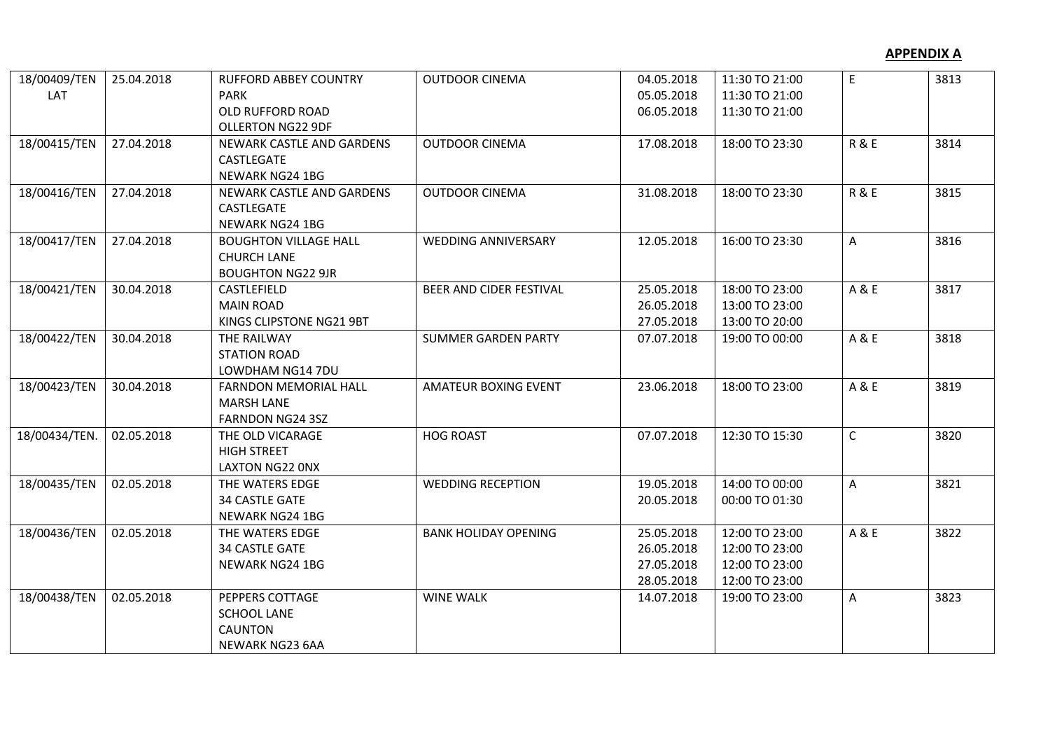| 18/00409/TEN  | 25.04.2018 | <b>RUFFORD ABBEY COUNTRY</b> | <b>OUTDOOR CINEMA</b>       | 04.05.2018 | 11:30 TO 21:00 | E              | 3813 |
|---------------|------------|------------------------------|-----------------------------|------------|----------------|----------------|------|
| LAT           |            | <b>PARK</b>                  |                             | 05.05.2018 | 11:30 TO 21:00 |                |      |
|               |            | OLD RUFFORD ROAD             |                             | 06.05.2018 | 11:30 TO 21:00 |                |      |
|               |            | <b>OLLERTON NG22 9DF</b>     |                             |            |                |                |      |
| 18/00415/TEN  | 27.04.2018 | NEWARK CASTLE AND GARDENS    | <b>OUTDOOR CINEMA</b>       | 17.08.2018 | 18:00 TO 23:30 | R&E            | 3814 |
|               |            | CASTLEGATE                   |                             |            |                |                |      |
|               |            | NEWARK NG24 1BG              |                             |            |                |                |      |
| 18/00416/TEN  | 27.04.2018 | NEWARK CASTLE AND GARDENS    | <b>OUTDOOR CINEMA</b>       | 31.08.2018 | 18:00 TO 23:30 | <b>R&amp;E</b> | 3815 |
|               |            | CASTLEGATE                   |                             |            |                |                |      |
|               |            | NEWARK NG24 1BG              |                             |            |                |                |      |
| 18/00417/TEN  | 27.04.2018 | <b>BOUGHTON VILLAGE HALL</b> | <b>WEDDING ANNIVERSARY</b>  | 12.05.2018 | 16:00 TO 23:30 | A              | 3816 |
|               |            | <b>CHURCH LANE</b>           |                             |            |                |                |      |
|               |            | <b>BOUGHTON NG22 9JR</b>     |                             |            |                |                |      |
| 18/00421/TEN  | 30.04.2018 | CASTLEFIELD                  | BEER AND CIDER FESTIVAL     | 25.05.2018 | 18:00 TO 23:00 | A & E          | 3817 |
|               |            | <b>MAIN ROAD</b>             |                             | 26.05.2018 | 13:00 TO 23:00 |                |      |
|               |            | KINGS CLIPSTONE NG21 9BT     |                             | 27.05.2018 | 13:00 TO 20:00 |                |      |
| 18/00422/TEN  | 30.04.2018 | THE RAILWAY                  | <b>SUMMER GARDEN PARTY</b>  | 07.07.2018 | 19:00 TO 00:00 | A&E            | 3818 |
|               |            | <b>STATION ROAD</b>          |                             |            |                |                |      |
|               |            | LOWDHAM NG14 7DU             |                             |            |                |                |      |
| 18/00423/TEN  | 30.04.2018 | <b>FARNDON MEMORIAL HALL</b> | <b>AMATEUR BOXING EVENT</b> | 23.06.2018 | 18:00 TO 23:00 | A & E          | 3819 |
|               |            | <b>MARSH LANE</b>            |                             |            |                |                |      |
|               |            | <b>FARNDON NG24 3SZ</b>      |                             |            |                |                |      |
| 18/00434/TEN. | 02.05.2018 | THE OLD VICARAGE             | <b>HOG ROAST</b>            | 07.07.2018 | 12:30 TO 15:30 | $\mathsf C$    | 3820 |
|               |            | <b>HIGH STREET</b>           |                             |            |                |                |      |
|               |            | LAXTON NG22 ONX              |                             |            |                |                |      |
| 18/00435/TEN  | 02.05.2018 | THE WATERS EDGE              | <b>WEDDING RECEPTION</b>    | 19.05.2018 | 14:00 TO 00:00 | A              | 3821 |
|               |            | <b>34 CASTLE GATE</b>        |                             | 20.05.2018 | 00:00 TO 01:30 |                |      |
|               |            | NEWARK NG24 1BG              |                             |            |                |                |      |
| 18/00436/TEN  | 02.05.2018 | THE WATERS EDGE              | <b>BANK HOLIDAY OPENING</b> | 25.05.2018 | 12:00 TO 23:00 | A & E          | 3822 |
|               |            | <b>34 CASTLE GATE</b>        |                             | 26.05.2018 | 12:00 TO 23:00 |                |      |
|               |            | NEWARK NG24 1BG              |                             | 27.05.2018 | 12:00 TO 23:00 |                |      |
|               |            |                              |                             | 28.05.2018 | 12:00 TO 23:00 |                |      |
| 18/00438/TEN  | 02.05.2018 | PEPPERS COTTAGE              | <b>WINE WALK</b>            | 14.07.2018 | 19:00 TO 23:00 | A              | 3823 |
|               |            | <b>SCHOOL LANE</b>           |                             |            |                |                |      |
|               |            | <b>CAUNTON</b>               |                             |            |                |                |      |
|               |            | <b>NEWARK NG23 6AA</b>       |                             |            |                |                |      |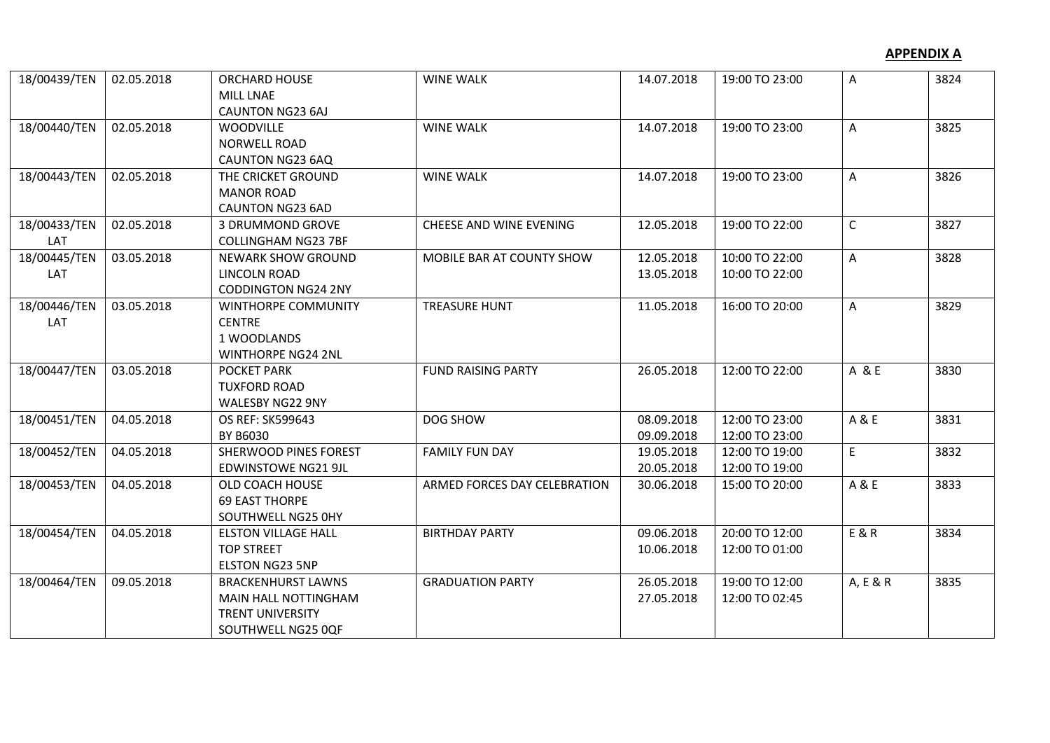| 18/00439/TEN        | 02.05.2018 | <b>ORCHARD HOUSE</b><br><b>MILL LNAE</b><br><b>CAUNTON NG23 6AJ</b>                                       | <b>WINE WALK</b>             | 14.07.2018               | 19:00 TO 23:00                   | A            | 3824 |
|---------------------|------------|-----------------------------------------------------------------------------------------------------------|------------------------------|--------------------------|----------------------------------|--------------|------|
| 18/00440/TEN        | 02.05.2018 | <b>WOODVILLE</b><br><b>NORWELL ROAD</b><br>CAUNTON NG23 6AQ                                               | <b>WINE WALK</b>             | 14.07.2018               | 19:00 TO 23:00                   | A            | 3825 |
| 18/00443/TEN        | 02.05.2018 | THE CRICKET GROUND<br><b>MANOR ROAD</b><br><b>CAUNTON NG23 6AD</b>                                        | <b>WINE WALK</b>             | 14.07.2018               | 19:00 TO 23:00                   | A            | 3826 |
| 18/00433/TEN<br>LAT | 02.05.2018 | 3 DRUMMOND GROVE<br><b>COLLINGHAM NG23 7BF</b>                                                            | CHEESE AND WINE EVENING      | 12.05.2018               | 19:00 TO 22:00                   | $\mathsf{C}$ | 3827 |
| 18/00445/TEN<br>LAT | 03.05.2018 | <b>NEWARK SHOW GROUND</b><br><b>LINCOLN ROAD</b><br><b>CODDINGTON NG24 2NY</b>                            | MOBILE BAR AT COUNTY SHOW    | 12.05.2018<br>13.05.2018 | 10:00 TO 22:00<br>10:00 TO 22:00 | Α            | 3828 |
| 18/00446/TEN<br>LAT | 03.05.2018 | <b>WINTHORPE COMMUNITY</b><br><b>CENTRE</b><br>1 WOODLANDS<br><b>WINTHORPE NG24 2NL</b>                   | <b>TREASURE HUNT</b>         | 11.05.2018               | 16:00 TO 20:00                   | A            | 3829 |
| 18/00447/TEN        | 03.05.2018 | <b>POCKET PARK</b><br><b>TUXFORD ROAD</b><br>WALESBY NG22 9NY                                             | <b>FUND RAISING PARTY</b>    | 26.05.2018               | 12:00 TO 22:00                   | A & E        | 3830 |
| 18/00451/TEN        | 04.05.2018 | OS REF: SK599643<br>BY B6030                                                                              | DOG SHOW                     | 08.09.2018<br>09.09.2018 | 12:00 TO 23:00<br>12:00 TO 23:00 | A & E        | 3831 |
| 18/00452/TEN        | 04.05.2018 | SHERWOOD PINES FOREST<br><b>EDWINSTOWE NG21 9JL</b>                                                       | <b>FAMILY FUN DAY</b>        | 19.05.2018<br>20.05.2018 | 12:00 TO 19:00<br>12:00 TO 19:00 | E.           | 3832 |
| 18/00453/TEN        | 04.05.2018 | OLD COACH HOUSE<br><b>69 EAST THORPE</b><br>SOUTHWELL NG25 0HY                                            | ARMED FORCES DAY CELEBRATION | 30.06.2018               | 15:00 TO 20:00                   | A & E        | 3833 |
| 18/00454/TEN        | 04.05.2018 | <b>ELSTON VILLAGE HALL</b><br><b>TOP STREET</b><br><b>ELSTON NG23 5NP</b>                                 | <b>BIRTHDAY PARTY</b>        | 09.06.2018<br>10.06.2018 | 20:00 TO 12:00<br>12:00 TO 01:00 | E & R        | 3834 |
| 18/00464/TEN        | 09.05.2018 | <b>BRACKENHURST LAWNS</b><br><b>MAIN HALL NOTTINGHAM</b><br><b>TRENT UNIVERSITY</b><br>SOUTHWELL NG25 0QF | <b>GRADUATION PARTY</b>      | 26.05.2018<br>27.05.2018 | 19:00 TO 12:00<br>12:00 TO 02:45 | A, E & R     | 3835 |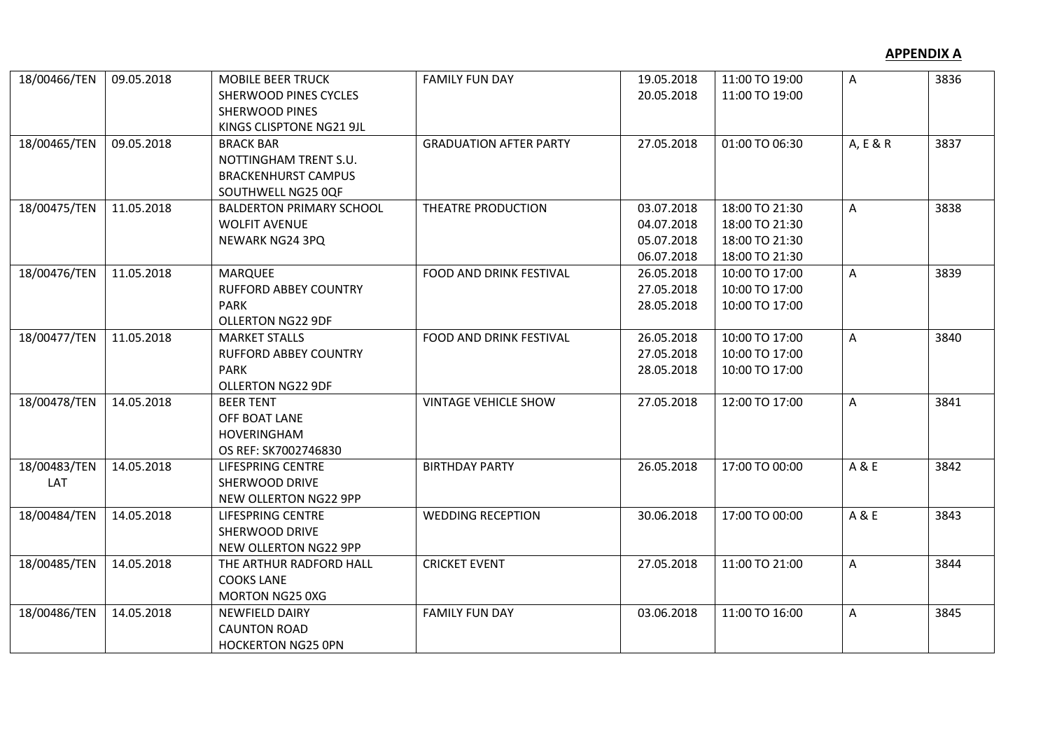| 18/00466/TEN | 09.05.2018 | <b>MOBILE BEER TRUCK</b>        | <b>FAMILY FUN DAY</b>         | 19.05.2018 | 11:00 TO 19:00 | A        | 3836 |
|--------------|------------|---------------------------------|-------------------------------|------------|----------------|----------|------|
|              |            | <b>SHERWOOD PINES CYCLES</b>    |                               | 20.05.2018 | 11:00 TO 19:00 |          |      |
|              |            | <b>SHERWOOD PINES</b>           |                               |            |                |          |      |
|              |            | KINGS CLISPTONE NG21 9JL        |                               |            |                |          |      |
| 18/00465/TEN | 09.05.2018 | <b>BRACK BAR</b>                | <b>GRADUATION AFTER PARTY</b> | 27.05.2018 | 01:00 TO 06:30 | A, E & R | 3837 |
|              |            | NOTTINGHAM TRENT S.U.           |                               |            |                |          |      |
|              |            | <b>BRACKENHURST CAMPUS</b>      |                               |            |                |          |      |
|              |            | SOUTHWELL NG25 0QF              |                               |            |                |          |      |
| 18/00475/TEN | 11.05.2018 | <b>BALDERTON PRIMARY SCHOOL</b> | THEATRE PRODUCTION            | 03.07.2018 | 18:00 TO 21:30 | A        | 3838 |
|              |            | <b>WOLFIT AVENUE</b>            |                               | 04.07.2018 | 18:00 TO 21:30 |          |      |
|              |            | NEWARK NG24 3PQ                 |                               | 05.07.2018 | 18:00 TO 21:30 |          |      |
|              |            |                                 |                               | 06.07.2018 | 18:00 TO 21:30 |          |      |
| 18/00476/TEN | 11.05.2018 | <b>MARQUEE</b>                  | FOOD AND DRINK FESTIVAL       | 26.05.2018 | 10:00 TO 17:00 | A        | 3839 |
|              |            | <b>RUFFORD ABBEY COUNTRY</b>    |                               | 27.05.2018 | 10:00 TO 17:00 |          |      |
|              |            | <b>PARK</b>                     |                               | 28.05.2018 | 10:00 TO 17:00 |          |      |
|              |            | OLLERTON NG22 9DF               |                               |            |                |          |      |
| 18/00477/TEN | 11.05.2018 | <b>MARKET STALLS</b>            | FOOD AND DRINK FESTIVAL       | 26.05.2018 | 10:00 TO 17:00 | A        | 3840 |
|              |            | <b>RUFFORD ABBEY COUNTRY</b>    |                               | 27.05.2018 | 10:00 TO 17:00 |          |      |
|              |            | <b>PARK</b>                     |                               | 28.05.2018 | 10:00 TO 17:00 |          |      |
|              |            | <b>OLLERTON NG22 9DF</b>        |                               |            |                |          |      |
| 18/00478/TEN | 14.05.2018 | <b>BEER TENT</b>                | <b>VINTAGE VEHICLE SHOW</b>   | 27.05.2018 | 12:00 TO 17:00 | A        | 3841 |
|              |            | OFF BOAT LANE                   |                               |            |                |          |      |
|              |            | HOVERINGHAM                     |                               |            |                |          |      |
|              |            | OS REF: SK7002746830            |                               |            |                |          |      |
| 18/00483/TEN | 14.05.2018 | LIFESPRING CENTRE               | <b>BIRTHDAY PARTY</b>         | 26.05.2018 | 17:00 TO 00:00 | A & E    | 3842 |
| LAT          |            | SHERWOOD DRIVE                  |                               |            |                |          |      |
|              |            | NEW OLLERTON NG22 9PP           |                               |            |                |          |      |
| 18/00484/TEN | 14.05.2018 | LIFESPRING CENTRE               | <b>WEDDING RECEPTION</b>      | 30.06.2018 | 17:00 TO 00:00 | A & E    | 3843 |
|              |            | SHERWOOD DRIVE                  |                               |            |                |          |      |
|              |            | NEW OLLERTON NG22 9PP           |                               |            |                |          |      |
| 18/00485/TEN | 14.05.2018 | THE ARTHUR RADFORD HALL         | <b>CRICKET EVENT</b>          | 27.05.2018 | 11:00 TO 21:00 | A        | 3844 |
|              |            | <b>COOKS LANE</b>               |                               |            |                |          |      |
|              |            | MORTON NG25 0XG                 |                               |            |                |          |      |
| 18/00486/TEN | 14.05.2018 | <b>NEWFIELD DAIRY</b>           | <b>FAMILY FUN DAY</b>         | 03.06.2018 | 11:00 TO 16:00 | A        | 3845 |
|              |            | <b>CAUNTON ROAD</b>             |                               |            |                |          |      |
|              |            | <b>HOCKERTON NG25 OPN</b>       |                               |            |                |          |      |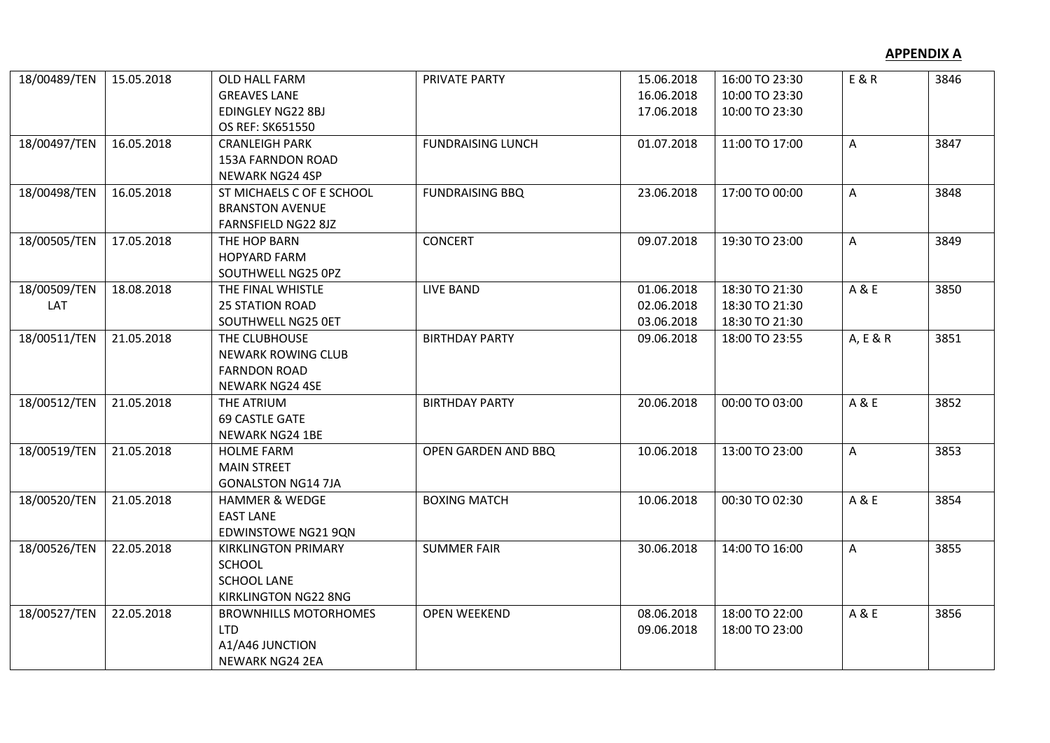| 18/00489/TEN        | 15.05.2018 | OLD HALL FARM<br><b>GREAVES LANE</b><br>EDINGLEY NG22 8BJ<br>OS REF: SK651550             | PRIVATE PARTY            | 15.06.2018<br>16.06.2018<br>17.06.2018 | 16:00 TO 23:30<br>10:00 TO 23:30<br>10:00 TO 23:30 | E & R    | 3846 |
|---------------------|------------|-------------------------------------------------------------------------------------------|--------------------------|----------------------------------------|----------------------------------------------------|----------|------|
| 18/00497/TEN        | 16.05.2018 | <b>CRANLEIGH PARK</b><br>153A FARNDON ROAD<br>NEWARK NG24 4SP                             | <b>FUNDRAISING LUNCH</b> | 01.07.2018                             | 11:00 TO 17:00                                     | A        | 3847 |
| 18/00498/TEN        | 16.05.2018 | ST MICHAELS C OF E SCHOOL<br><b>BRANSTON AVENUE</b><br>FARNSFIELD NG22 8JZ                | <b>FUNDRAISING BBQ</b>   | 23.06.2018                             | 17:00 TO 00:00                                     | A        | 3848 |
| 18/00505/TEN        | 17.05.2018 | THE HOP BARN<br><b>HOPYARD FARM</b><br>SOUTHWELL NG25 0PZ                                 | <b>CONCERT</b>           | 09.07.2018                             | 19:30 TO 23:00                                     | A        | 3849 |
| 18/00509/TEN<br>LAT | 18.08.2018 | THE FINAL WHISTLE<br><b>25 STATION ROAD</b><br>SOUTHWELL NG25 OET                         | LIVE BAND                | 01.06.2018<br>02.06.2018<br>03.06.2018 | 18:30 TO 21:30<br>18:30 TO 21:30<br>18:30 TO 21:30 | A & E    | 3850 |
| 18/00511/TEN        | 21.05.2018 | THE CLUBHOUSE<br><b>NEWARK ROWING CLUB</b><br><b>FARNDON ROAD</b><br>NEWARK NG24 4SE      | <b>BIRTHDAY PARTY</b>    | 09.06.2018                             | 18:00 TO 23:55                                     | A, E & R | 3851 |
| 18/00512/TEN        | 21.05.2018 | THE ATRIUM<br><b>69 CASTLE GATE</b><br><b>NEWARK NG24 1BE</b>                             | <b>BIRTHDAY PARTY</b>    | 20.06.2018                             | 00:00 TO 03:00                                     | A & E    | 3852 |
| 18/00519/TEN        | 21.05.2018 | <b>HOLME FARM</b><br><b>MAIN STREET</b><br><b>GONALSTON NG14 7JA</b>                      | OPEN GARDEN AND BBQ      | 10.06.2018                             | 13:00 TO 23:00                                     | A        | 3853 |
| 18/00520/TEN        | 21.05.2018 | <b>HAMMER &amp; WEDGE</b><br><b>EAST LANE</b><br><b>EDWINSTOWE NG21 9QN</b>               | <b>BOXING MATCH</b>      | 10.06.2018                             | 00:30 TO 02:30                                     | A & E    | 3854 |
| 18/00526/TEN        | 22.05.2018 | <b>KIRKLINGTON PRIMARY</b><br><b>SCHOOL</b><br><b>SCHOOL LANE</b><br>KIRKLINGTON NG22 8NG | <b>SUMMER FAIR</b>       | 30.06.2018                             | 14:00 TO 16:00                                     | A        | 3855 |
| 18/00527/TEN        | 22.05.2018 | <b>BROWNHILLS MOTORHOMES</b><br><b>LTD</b><br>A1/A46 JUNCTION<br>NEWARK NG24 2EA          | <b>OPEN WEEKEND</b>      | 08.06.2018<br>09.06.2018               | 18:00 TO 22:00<br>18:00 TO 23:00                   | A & E    | 3856 |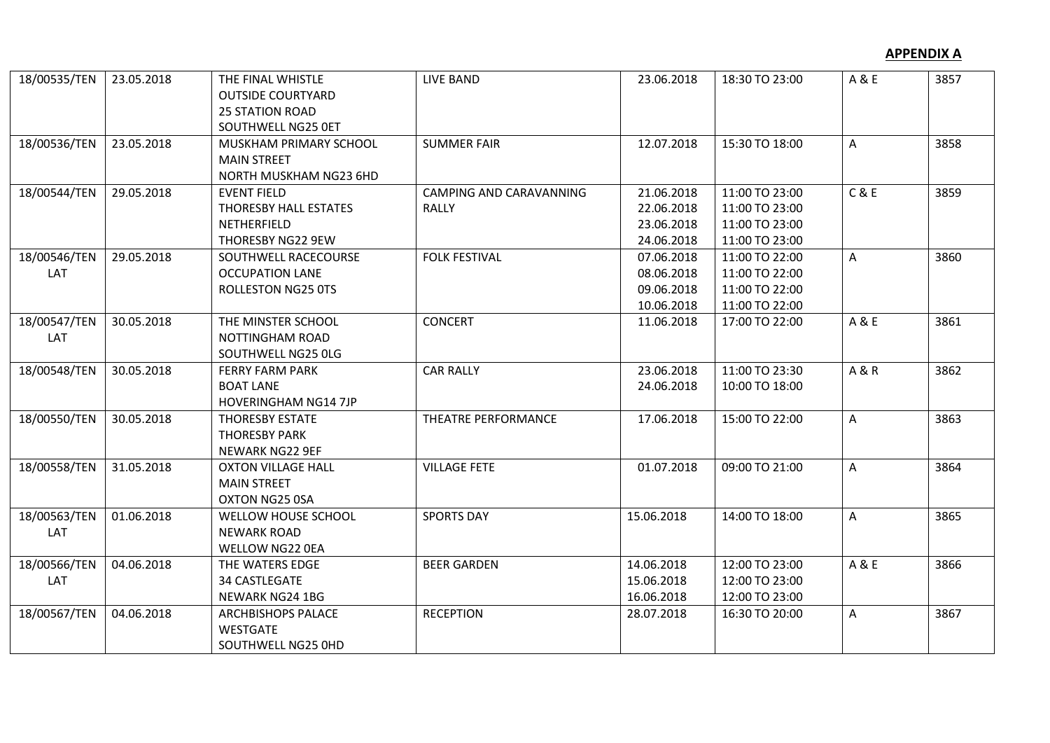| 18/00535/TEN        | 23.05.2018 | THE FINAL WHISTLE<br><b>OUTSIDE COURTYARD</b><br><b>25 STATION ROAD</b><br>SOUTHWELL NG25 OET | LIVE BAND                               | 23.06.2018                                           | 18:30 TO 23:00                                                       | A & E          | 3857 |
|---------------------|------------|-----------------------------------------------------------------------------------------------|-----------------------------------------|------------------------------------------------------|----------------------------------------------------------------------|----------------|------|
| 18/00536/TEN        | 23.05.2018 | MUSKHAM PRIMARY SCHOOL<br><b>MAIN STREET</b><br>NORTH MUSKHAM NG23 6HD                        | <b>SUMMER FAIR</b>                      | 12.07.2018                                           | 15:30 TO 18:00                                                       | A              | 3858 |
| 18/00544/TEN        | 29.05.2018 | <b>EVENT FIELD</b><br>THORESBY HALL ESTATES<br>NETHERFIELD<br>THORESBY NG22 9EW               | CAMPING AND CARAVANNING<br><b>RALLY</b> | 21.06.2018<br>22.06.2018<br>23.06.2018<br>24.06.2018 | 11:00 TO 23:00<br>11:00 TO 23:00<br>11:00 TO 23:00<br>11:00 TO 23:00 | C & E          | 3859 |
| 18/00546/TEN<br>LAT | 29.05.2018 | SOUTHWELL RACECOURSE<br><b>OCCUPATION LANE</b><br><b>ROLLESTON NG25 0TS</b>                   | <b>FOLK FESTIVAL</b>                    | 07.06.2018<br>08.06.2018<br>09.06.2018<br>10.06.2018 | 11:00 TO 22:00<br>11:00 TO 22:00<br>11:00 TO 22:00<br>11:00 TO 22:00 | A              | 3860 |
| 18/00547/TEN<br>LAT | 30.05.2018 | THE MINSTER SCHOOL<br><b>NOTTINGHAM ROAD</b><br>SOUTHWELL NG25 OLG                            | <b>CONCERT</b>                          | 11.06.2018                                           | 17:00 TO 22:00                                                       | A & E          | 3861 |
| 18/00548/TEN        | 30.05.2018 | <b>FERRY FARM PARK</b><br><b>BOAT LANE</b><br><b>HOVERINGHAM NG14 7JP</b>                     | <b>CAR RALLY</b>                        | 23.06.2018<br>24.06.2018                             | 11:00 TO 23:30<br>10:00 TO 18:00                                     | <b>A&amp;R</b> | 3862 |
| 18/00550/TEN        | 30.05.2018 | <b>THORESBY ESTATE</b><br><b>THORESBY PARK</b><br><b>NEWARK NG22 9EF</b>                      | THEATRE PERFORMANCE                     | 17.06.2018                                           | 15:00 TO 22:00                                                       | A              | 3863 |
| 18/00558/TEN        | 31.05.2018 | <b>OXTON VILLAGE HALL</b><br><b>MAIN STREET</b><br>OXTON NG25 0SA                             | <b>VILLAGE FETE</b>                     | 01.07.2018                                           | 09:00 TO 21:00                                                       | A              | 3864 |
| 18/00563/TEN<br>LAT | 01.06.2018 | <b>WELLOW HOUSE SCHOOL</b><br><b>NEWARK ROAD</b><br><b>WELLOW NG22 OEA</b>                    | <b>SPORTS DAY</b>                       | 15.06.2018                                           | 14:00 TO 18:00                                                       | A              | 3865 |
| 18/00566/TEN<br>LAT | 04.06.2018 | THE WATERS EDGE<br><b>34 CASTLEGATE</b><br>NEWARK NG24 1BG                                    | <b>BEER GARDEN</b>                      | 14.06.2018<br>15.06.2018<br>16.06.2018               | 12:00 TO 23:00<br>12:00 TO 23:00<br>12:00 TO 23:00                   | A & E          | 3866 |
| 18/00567/TEN        | 04.06.2018 | <b>ARCHBISHOPS PALACE</b><br><b>WESTGATE</b><br>SOUTHWELL NG25 0HD                            | <b>RECEPTION</b>                        | 28.07.2018                                           | 16:30 TO 20:00                                                       | A              | 3867 |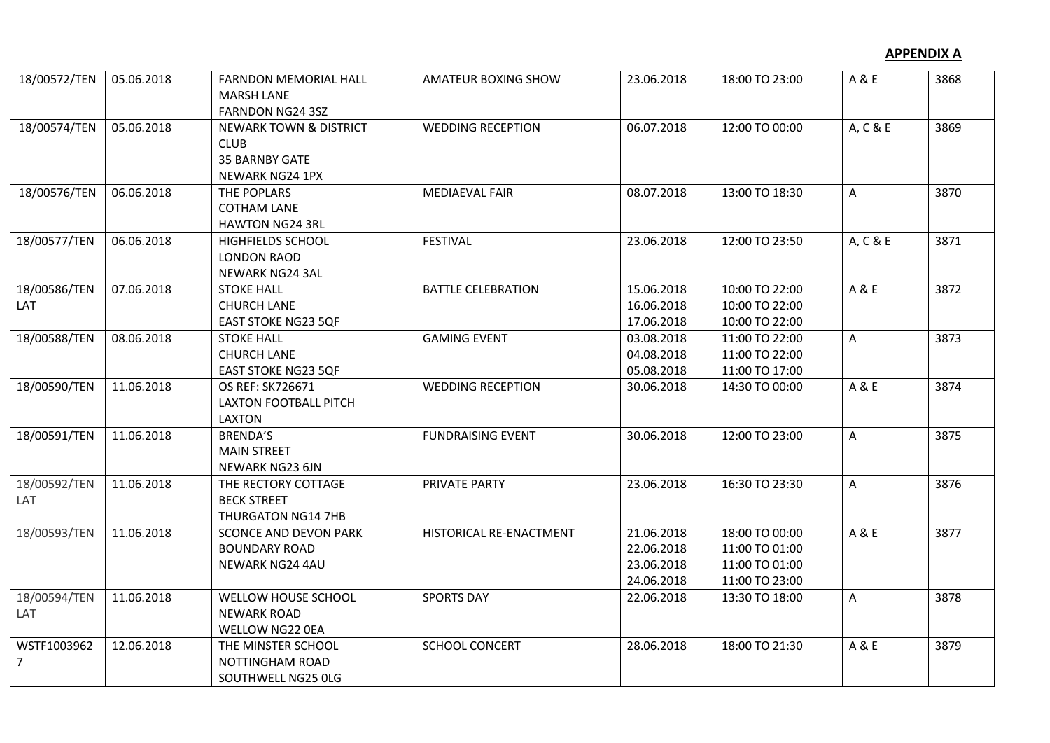| 18/00572/TEN | 05.06.2018 | FARNDON MEMORIAL HALL<br><b>MARSH LANE</b> | AMATEUR BOXING SHOW       | 23.06.2018 | 18:00 TO 23:00 | A & E    | 3868 |
|--------------|------------|--------------------------------------------|---------------------------|------------|----------------|----------|------|
|              |            | FARNDON NG24 3SZ                           |                           |            |                |          |      |
| 18/00574/TEN | 05.06.2018 | <b>NEWARK TOWN &amp; DISTRICT</b>          | <b>WEDDING RECEPTION</b>  | 06.07.2018 | 12:00 TO 00:00 | A, C & E | 3869 |
|              |            | <b>CLUB</b>                                |                           |            |                |          |      |
|              |            | <b>35 BARNBY GATE</b>                      |                           |            |                |          |      |
|              |            | NEWARK NG24 1PX                            |                           |            |                |          |      |
| 18/00576/TEN | 06.06.2018 | THE POPLARS                                | <b>MEDIAEVAL FAIR</b>     | 08.07.2018 | 13:00 TO 18:30 | A        | 3870 |
|              |            | <b>COTHAM LANE</b>                         |                           |            |                |          |      |
|              |            | <b>HAWTON NG24 3RL</b>                     |                           |            |                |          |      |
| 18/00577/TEN | 06.06.2018 | <b>HIGHFIELDS SCHOOL</b>                   | <b>FESTIVAL</b>           | 23.06.2018 | 12:00 TO 23:50 | A, C & E | 3871 |
|              |            | <b>LONDON RAOD</b>                         |                           |            |                |          |      |
|              |            | NEWARK NG24 3AL                            |                           |            |                |          |      |
| 18/00586/TEN | 07.06.2018 | <b>STOKE HALL</b>                          | <b>BATTLE CELEBRATION</b> | 15.06.2018 | 10:00 TO 22:00 | A & E    | 3872 |
| LAT          |            | <b>CHURCH LANE</b>                         |                           | 16.06.2018 | 10:00 TO 22:00 |          |      |
|              |            | EAST STOKE NG23 5QF                        |                           | 17.06.2018 | 10:00 TO 22:00 |          |      |
| 18/00588/TEN | 08.06.2018 | <b>STOKE HALL</b>                          | <b>GAMING EVENT</b>       | 03.08.2018 | 11:00 TO 22:00 | A        | 3873 |
|              |            | <b>CHURCH LANE</b>                         |                           | 04.08.2018 | 11:00 TO 22:00 |          |      |
|              |            | <b>EAST STOKE NG23 5QF</b>                 |                           | 05.08.2018 | 11:00 TO 17:00 |          |      |
| 18/00590/TEN | 11.06.2018 | OS REF: SK726671                           | <b>WEDDING RECEPTION</b>  | 30.06.2018 | 14:30 TO 00:00 | A & E    | 3874 |
|              |            | <b>LAXTON FOOTBALL PITCH</b>               |                           |            |                |          |      |
|              |            | <b>LAXTON</b>                              |                           |            |                |          |      |
| 18/00591/TEN | 11.06.2018 | <b>BRENDA'S</b>                            | <b>FUNDRAISING EVENT</b>  | 30.06.2018 | 12:00 TO 23:00 | A        | 3875 |
|              |            | <b>MAIN STREET</b>                         |                           |            |                |          |      |
|              |            | NEWARK NG23 6JN                            |                           |            |                |          |      |
| 18/00592/TEN | 11.06.2018 | THE RECTORY COTTAGE                        | PRIVATE PARTY             | 23.06.2018 | 16:30 TO 23:30 | A        | 3876 |
| LAT          |            | <b>BECK STREET</b>                         |                           |            |                |          |      |
|              |            | THURGATON NG14 7HB                         |                           |            |                |          |      |
| 18/00593/TEN | 11.06.2018 | <b>SCONCE AND DEVON PARK</b>               | HISTORICAL RE-ENACTMENT   | 21.06.2018 | 18:00 TO 00:00 | A & E    | 3877 |
|              |            | <b>BOUNDARY ROAD</b>                       |                           | 22.06.2018 | 11:00 TO 01:00 |          |      |
|              |            | NEWARK NG24 4AU                            |                           | 23.06.2018 | 11:00 TO 01:00 |          |      |
|              |            |                                            |                           | 24.06.2018 | 11:00 TO 23:00 |          |      |
| 18/00594/TEN | 11.06.2018 | WELLOW HOUSE SCHOOL                        | <b>SPORTS DAY</b>         | 22.06.2018 | 13:30 TO 18:00 | A        | 3878 |
| LAT          |            | <b>NEWARK ROAD</b>                         |                           |            |                |          |      |
|              |            | WELLOW NG22 0EA                            |                           |            |                |          |      |
| WSTF1003962  | 12.06.2018 | THE MINSTER SCHOOL                         | <b>SCHOOL CONCERT</b>     | 28.06.2018 | 18:00 TO 21:30 | A & E    | 3879 |
| 7            |            | NOTTINGHAM ROAD                            |                           |            |                |          |      |
|              |            | SOUTHWELL NG25 OLG                         |                           |            |                |          |      |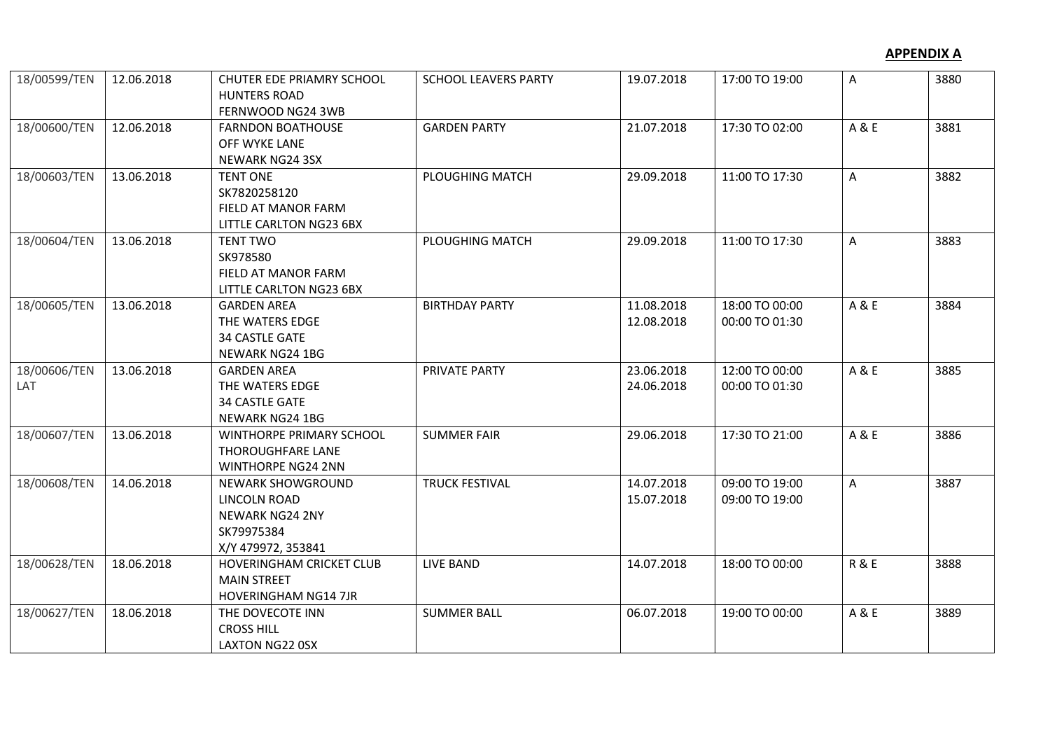| 18/00599/TEN        | 12.06.2018 | CHUTER EDE PRIAMRY SCHOOL<br><b>HUNTERS ROAD</b><br>FERNWOOD NG24 3WB                                  | <b>SCHOOL LEAVERS PARTY</b> | 19.07.2018               | 17:00 TO 19:00                   | A              | 3880 |
|---------------------|------------|--------------------------------------------------------------------------------------------------------|-----------------------------|--------------------------|----------------------------------|----------------|------|
| 18/00600/TEN        | 12.06.2018 | <b>FARNDON BOATHOUSE</b><br>OFF WYKE LANE<br>NEWARK NG24 3SX                                           | <b>GARDEN PARTY</b>         | 21.07.2018               | 17:30 TO 02:00                   | A & E          | 3881 |
| 18/00603/TEN        | 13.06.2018 | <b>TENT ONE</b><br>SK7820258120<br>FIELD AT MANOR FARM<br>LITTLE CARLTON NG23 6BX                      | PLOUGHING MATCH             | 29.09.2018               | 11:00 TO 17:30                   | A              | 3882 |
| 18/00604/TEN        | 13.06.2018 | <b>TENT TWO</b><br>SK978580<br>FIELD AT MANOR FARM<br>LITTLE CARLTON NG23 6BX                          | PLOUGHING MATCH             | 29.09.2018               | 11:00 TO 17:30                   | A              | 3883 |
| 18/00605/TEN        | 13.06.2018 | <b>GARDEN AREA</b><br>THE WATERS EDGE<br><b>34 CASTLE GATE</b><br>NEWARK NG24 1BG                      | <b>BIRTHDAY PARTY</b>       | 11.08.2018<br>12.08.2018 | 18:00 TO 00:00<br>00:00 TO 01:30 | A & E          | 3884 |
| 18/00606/TEN<br>LAT | 13.06.2018 | <b>GARDEN AREA</b><br>THE WATERS EDGE<br><b>34 CASTLE GATE</b><br><b>NEWARK NG24 1BG</b>               | PRIVATE PARTY               | 23.06.2018<br>24.06.2018 | 12:00 TO 00:00<br>00:00 TO 01:30 | A & E          | 3885 |
| 18/00607/TEN        | 13.06.2018 | WINTHORPE PRIMARY SCHOOL<br><b>THOROUGHFARE LANE</b><br><b>WINTHORPE NG24 2NN</b>                      | <b>SUMMER FAIR</b>          | 29.06.2018               | 17:30 TO 21:00                   | A & E          | 3886 |
| 18/00608/TEN        | 14.06.2018 | <b>NEWARK SHOWGROUND</b><br>LINCOLN ROAD<br><b>NEWARK NG24 2NY</b><br>SK79975384<br>X/Y 479972, 353841 | <b>TRUCK FESTIVAL</b>       | 14.07.2018<br>15.07.2018 | 09:00 TO 19:00<br>09:00 TO 19:00 | A              | 3887 |
| 18/00628/TEN        | 18.06.2018 | <b>HOVERINGHAM CRICKET CLUB</b><br><b>MAIN STREET</b><br><b>HOVERINGHAM NG14 7JR</b>                   | <b>LIVE BAND</b>            | 14.07.2018               | 18:00 TO 00:00                   | <b>R&amp;E</b> | 3888 |
| 18/00627/TEN        | 18.06.2018 | THE DOVECOTE INN<br><b>CROSS HILL</b><br><b>LAXTON NG22 OSX</b>                                        | <b>SUMMER BALL</b>          | 06.07.2018               | 19:00 TO 00:00                   | A & E          | 3889 |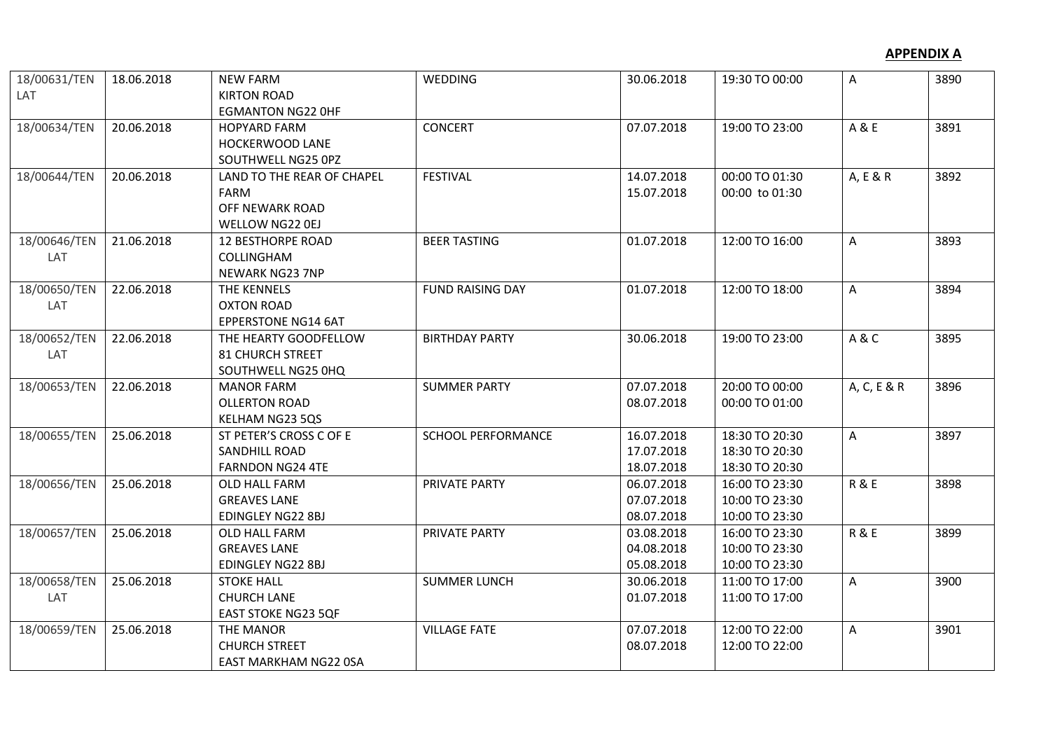| 18/00631/TEN | 18.06.2018 | <b>NEW FARM</b>            | <b>WEDDING</b>            | 30.06.2018 | 19:30 TO 00:00 | A              | 3890 |
|--------------|------------|----------------------------|---------------------------|------------|----------------|----------------|------|
| LAT          |            | <b>KIRTON ROAD</b>         |                           |            |                |                |      |
|              |            | <b>EGMANTON NG22 OHF</b>   |                           |            |                |                |      |
| 18/00634/TEN | 20.06.2018 | <b>HOPYARD FARM</b>        | <b>CONCERT</b>            | 07.07.2018 | 19:00 TO 23:00 | A & E          | 3891 |
|              |            | HOCKERWOOD LANE            |                           |            |                |                |      |
|              |            | SOUTHWELL NG25 0PZ         |                           |            |                |                |      |
| 18/00644/TEN | 20.06.2018 | LAND TO THE REAR OF CHAPEL | <b>FESTIVAL</b>           | 14.07.2018 | 00:00 TO 01:30 | A, E & R       | 3892 |
|              |            | <b>FARM</b>                |                           | 15.07.2018 | 00:00 to 01:30 |                |      |
|              |            | OFF NEWARK ROAD            |                           |            |                |                |      |
|              |            | WELLOW NG22 0EJ            |                           |            |                |                |      |
| 18/00646/TEN | 21.06.2018 | <b>12 BESTHORPE ROAD</b>   | <b>BEER TASTING</b>       | 01.07.2018 | 12:00 TO 16:00 | A              | 3893 |
| LAT          |            | COLLINGHAM                 |                           |            |                |                |      |
|              |            | <b>NEWARK NG23 7NP</b>     |                           |            |                |                |      |
| 18/00650/TEN | 22.06.2018 | THE KENNELS                | <b>FUND RAISING DAY</b>   | 01.07.2018 | 12:00 TO 18:00 | A              | 3894 |
| LAT          |            | <b>OXTON ROAD</b>          |                           |            |                |                |      |
|              |            | <b>EPPERSTONE NG14 6AT</b> |                           |            |                |                |      |
| 18/00652/TEN | 22.06.2018 | THE HEARTY GOODFELLOW      | <b>BIRTHDAY PARTY</b>     | 30.06.2018 | 19:00 TO 23:00 | A&C            | 3895 |
| LAT          |            | <b>81 CHURCH STREET</b>    |                           |            |                |                |      |
|              |            | SOUTHWELL NG25 0HQ         |                           |            |                |                |      |
| 18/00653/TEN | 22.06.2018 | <b>MANOR FARM</b>          | <b>SUMMER PARTY</b>       | 07.07.2018 | 20:00 TO 00:00 | A, C, E & R    | 3896 |
|              |            | <b>OLLERTON ROAD</b>       |                           | 08.07.2018 | 00:00 TO 01:00 |                |      |
|              |            | KELHAM NG23 5QS            |                           |            |                |                |      |
| 18/00655/TEN | 25.06.2018 | ST PETER'S CROSS C OF E    | <b>SCHOOL PERFORMANCE</b> | 16.07.2018 | 18:30 TO 20:30 | A              | 3897 |
|              |            | SANDHILL ROAD              |                           | 17.07.2018 | 18:30 TO 20:30 |                |      |
|              |            | <b>FARNDON NG24 4TE</b>    |                           | 18.07.2018 | 18:30 TO 20:30 |                |      |
| 18/00656/TEN | 25.06.2018 | OLD HALL FARM              | PRIVATE PARTY             | 06.07.2018 | 16:00 TO 23:30 | <b>R&amp;E</b> | 3898 |
|              |            | <b>GREAVES LANE</b>        |                           | 07.07.2018 | 10:00 TO 23:30 |                |      |
|              |            | EDINGLEY NG22 8BJ          |                           | 08.07.2018 | 10:00 TO 23:30 |                |      |
| 18/00657/TEN | 25.06.2018 | OLD HALL FARM              | PRIVATE PARTY             | 03.08.2018 | 16:00 TO 23:30 | <b>R&amp;E</b> | 3899 |
|              |            | <b>GREAVES LANE</b>        |                           | 04.08.2018 | 10:00 TO 23:30 |                |      |
|              |            | EDINGLEY NG22 8BJ          |                           | 05.08.2018 | 10:00 TO 23:30 |                |      |
| 18/00658/TEN | 25.06.2018 | <b>STOKE HALL</b>          | <b>SUMMER LUNCH</b>       | 30.06.2018 | 11:00 TO 17:00 | Α              | 3900 |
| LAT          |            | <b>CHURCH LANE</b>         |                           | 01.07.2018 | 11:00 TO 17:00 |                |      |
|              |            | <b>EAST STOKE NG23 5QF</b> |                           |            |                |                |      |
| 18/00659/TEN | 25.06.2018 | THE MANOR                  | <b>VILLAGE FATE</b>       | 07.07.2018 | 12:00 TO 22:00 | A              | 3901 |
|              |            | <b>CHURCH STREET</b>       |                           | 08.07.2018 | 12:00 TO 22:00 |                |      |
|              |            | EAST MARKHAM NG22 0SA      |                           |            |                |                |      |